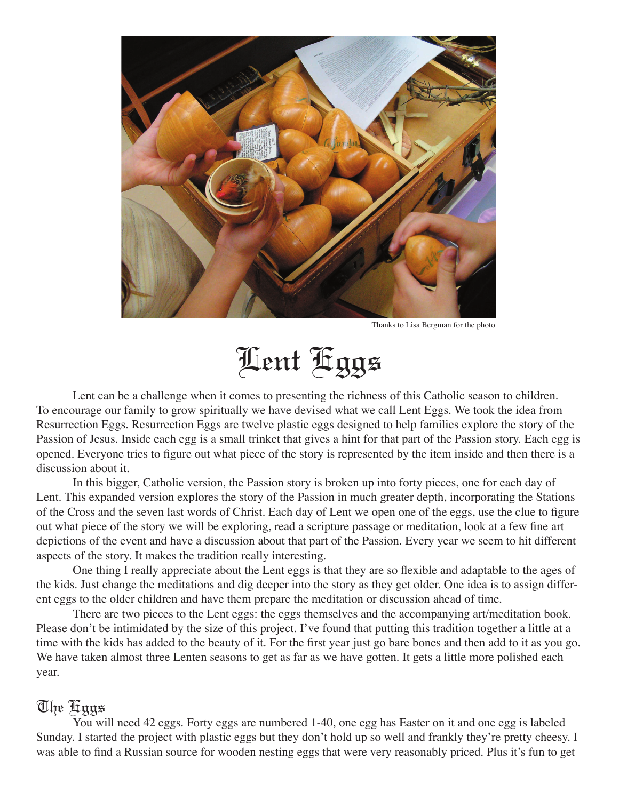

Thanks to Lisa Bergman for the photo

Lent Eggs

 Lent can be a challenge when it comes to presenting the richness of this Catholic season to children. To encourage our family to grow spiritually we have devised what we call Lent Eggs. We took the idea from Resurrection Eggs. Resurrection Eggs are twelve plastic eggs designed to help families explore the story of the Passion of Jesus. Inside each egg is a small trinket that gives a hint for that part of the Passion story. Each egg is opened. Everyone tries to figure out what piece of the story is represented by the item inside and then there is a discussion about it.

 In this bigger, Catholic version, the Passion story is broken up into forty pieces, one for each day of Lent. This expanded version explores the story of the Passion in much greater depth, incorporating the Stations of the Cross and the seven last words of Christ. Each day of Lent we open one of the eggs, use the clue to figure out what piece of the story we will be exploring, read a scripture passage or meditation, look at a few fine art depictions of the event and have a discussion about that part of the Passion. Every year we seem to hit different aspects of the story. It makes the tradition really interesting.

 One thing I really appreciate about the Lent eggs is that they are so flexible and adaptable to the ages of the kids. Just change the meditations and dig deeper into the story as they get older. One idea is to assign different eggs to the older children and have them prepare the meditation or discussion ahead of time.

 There are two pieces to the Lent eggs: the eggs themselves and the accompanying art/meditation book. Please don't be intimidated by the size of this project. I've found that putting this tradition together a little at a time with the kids has added to the beauty of it. For the first year just go bare bones and then add to it as you go. We have taken almost three Lenten seasons to get as far as we have gotten. It gets a little more polished each year.

## The Eggs

 You will need 42 eggs. Forty eggs are numbered 1-40, one egg has Easter on it and one egg is labeled Sunday. I started the project with plastic eggs but they don't hold up so well and frankly they're pretty cheesy. I was able to find a Russian source for wooden nesting eggs that were very reasonably priced. Plus it's fun to get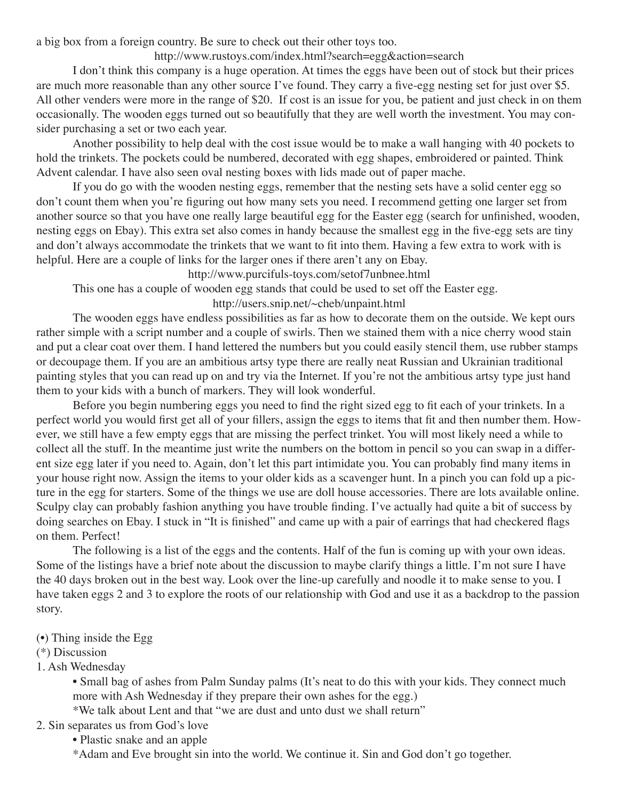a big box from a foreign country. Be sure to check out their other toys too.

### http://www.rustoys.com/index.html?search=egg&action=search

 I don't think this company is a huge operation. At times the eggs have been out of stock but their prices are much more reasonable than any other source I've found. They carry a five-egg nesting set for just over \$5. All other venders were more in the range of \$20. If cost is an issue for you, be patient and just check in on them occasionally. The wooden eggs turned out so beautifully that they are well worth the investment. You may consider purchasing a set or two each year.

 Another possibility to help deal with the cost issue would be to make a wall hanging with 40 pockets to hold the trinkets. The pockets could be numbered, decorated with egg shapes, embroidered or painted. Think Advent calendar. I have also seen oval nesting boxes with lids made out of paper mache.

 If you do go with the wooden nesting eggs, remember that the nesting sets have a solid center egg so don't count them when you're figuring out how many sets you need. I recommend getting one larger set from another source so that you have one really large beautiful egg for the Easter egg (search for unfinished, wooden, nesting eggs on Ebay). This extra set also comes in handy because the smallest egg in the five-egg sets are tiny and don't always accommodate the trinkets that we want to fit into them. Having a few extra to work with is helpful. Here are a couple of links for the larger ones if there aren't any on Ebay.

http://www.purcifuls-toys.com/setof7unbnee.html

This one has a couple of wooden egg stands that could be used to set off the Easter egg.

http://users.snip.net/~cheb/unpaint.html

 The wooden eggs have endless possibilities as far as how to decorate them on the outside. We kept ours rather simple with a script number and a couple of swirls. Then we stained them with a nice cherry wood stain and put a clear coat over them. I hand lettered the numbers but you could easily stencil them, use rubber stamps or decoupage them. If you are an ambitious artsy type there are really neat Russian and Ukrainian traditional painting styles that you can read up on and try via the Internet. If you're not the ambitious artsy type just hand them to your kids with a bunch of markers. They will look wonderful.

 Before you begin numbering eggs you need to find the right sized egg to fit each of your trinkets. In a perfect world you would first get all of your fillers, assign the eggs to items that fit and then number them. However, we still have a few empty eggs that are missing the perfect trinket. You will most likely need a while to collect all the stuff. In the meantime just write the numbers on the bottom in pencil so you can swap in a different size egg later if you need to. Again, don't let this part intimidate you. You can probably find many items in your house right now. Assign the items to your older kids as a scavenger hunt. In a pinch you can fold up a picture in the egg for starters. Some of the things we use are doll house accessories. There are lots available online. Sculpy clay can probably fashion anything you have trouble finding. I've actually had quite a bit of success by doing searches on Ebay. I stuck in "It is finished" and came up with a pair of earrings that had checkered flags on them. Perfect!

 The following is a list of the eggs and the contents. Half of the fun is coming up with your own ideas. Some of the listings have a brief note about the discussion to maybe clarify things a little. I'm not sure I have the 40 days broken out in the best way. Look over the line-up carefully and noodle it to make sense to you. I have taken eggs 2 and 3 to explore the roots of our relationship with God and use it as a backdrop to the passion story.

#### (•) Thing inside the Egg

#### (\*) Discussion

1. Ash Wednesday

 • Small bag of ashes from Palm Sunday palms (It's neat to do this with your kids. They connect much more with Ash Wednesday if they prepare their own ashes for the egg.)

\*We talk about Lent and that "we are dust and unto dust we shall return"

- 2. Sin separates us from God's love
	- Plastic snake and an apple

\*Adam and Eve brought sin into the world. We continue it. Sin and God don't go together.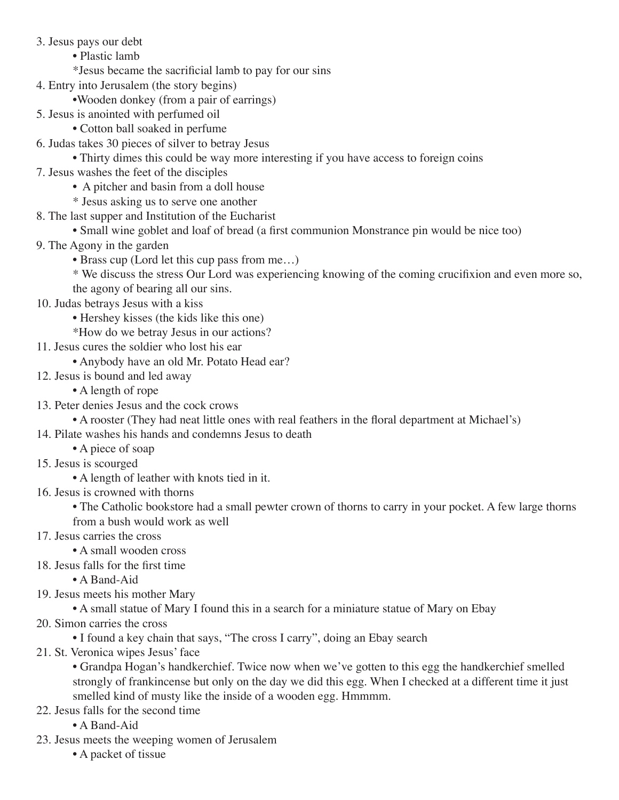- 3. Jesus pays our debt
	- Plastic lamb
	- \*Jesus became the sacrificial lamb to pay for our sins
- 4. Entry into Jerusalem (the story begins)
	- •Wooden donkey (from a pair of earrings)
- 5. Jesus is anointed with perfumed oil
	- Cotton ball soaked in perfume
- 6. Judas takes 30 pieces of silver to betray Jesus
	- Thirty dimes this could be way more interesting if you have access to foreign coins
- 7. Jesus washes the feet of the disciples
	- A pitcher and basin from a doll house
	- \* Jesus asking us to serve one another
- 8. The last supper and Institution of the Eucharist
	- Small wine goblet and loaf of bread (a first communion Monstrance pin would be nice too)
- 9. The Agony in the garden
	- Brass cup (Lord let this cup pass from me…)

 \* We discuss the stress Our Lord was experiencing knowing of the coming crucifixion and even more so, the agony of bearing all our sins.

- 10. Judas betrays Jesus with a kiss
	- Hershey kisses (the kids like this one)
	- \*How do we betray Jesus in our actions?
- 11. Jesus cures the soldier who lost his ear
	- Anybody have an old Mr. Potato Head ear?
- 12. Jesus is bound and led away
	- A length of rope
- 13. Peter denies Jesus and the cock crows
	- A rooster (They had neat little ones with real feathers in the floral department at Michael's)
- 14. Pilate washes his hands and condemns Jesus to death
	- A piece of soap
- 15. Jesus is scourged
	- A length of leather with knots tied in it.
- 16. Jesus is crowned with thorns
	- The Catholic bookstore had a small pewter crown of thorns to carry in your pocket. A few large thorns from a bush would work as well
- 17. Jesus carries the cross
	- A small wooden cross
- 18. Jesus falls for the first time
	- A Band-Aid
- 19. Jesus meets his mother Mary
	- A small statue of Mary I found this in a search for a miniature statue of Mary on Ebay
- 20. Simon carries the cross
	- I found a key chain that says, "The cross I carry", doing an Ebay search
- 21. St. Veronica wipes Jesus' face
	- Grandpa Hogan's handkerchief. Twice now when we've gotten to this egg the handkerchief smelled strongly of frankincense but only on the day we did this egg. When I checked at a different time it just smelled kind of musty like the inside of a wooden egg. Hmmmm.
- 22. Jesus falls for the second time
	- A Band-Aid
- 23. Jesus meets the weeping women of Jerusalem
	- A packet of tissue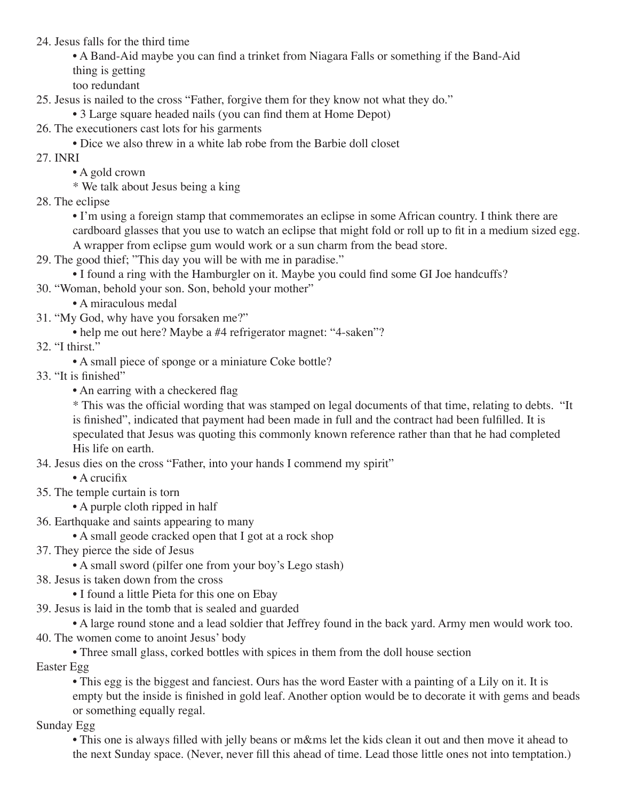24. Jesus falls for the third time

 • A Band-Aid maybe you can find a trinket from Niagara Falls or something if the Band-Aid thing is getting

too redundant

25. Jesus is nailed to the cross "Father, forgive them for they know not what they do."

• 3 Large square headed nails (you can find them at Home Depot)

26. The executioners cast lots for his garments

- Dice we also threw in a white lab robe from the Barbie doll closet
- 27. INRI
	- A gold crown

\* We talk about Jesus being a king

28. The eclipse

 • I'm using a foreign stamp that commemorates an eclipse in some African country. I think there are cardboard glasses that you use to watch an eclipse that might fold or roll up to fit in a medium sized egg. A wrapper from eclipse gum would work or a sun charm from the bead store.

29. The good thief; "This day you will be with me in paradise."

• I found a ring with the Hamburgler on it. Maybe you could find some GI Joe handcuffs?

- 30. "Woman, behold your son. Son, behold your mother"
	- A miraculous medal
- 31. "My God, why have you forsaken me?"
	- help me out here? Maybe a #4 refrigerator magnet: "4-saken"?

32. "I thirst."

- A small piece of sponge or a miniature Coke bottle?
- 33. "It is finished"
	- An earring with a checkered flag

 \* This was the official wording that was stamped on legal documents of that time, relating to debts. "It is finished", indicated that payment had been made in full and the contract had been fulfilled. It is speculated that Jesus was quoting this commonly known reference rather than that he had completed His life on earth.

- 34. Jesus dies on the cross "Father, into your hands I commend my spirit"
	- A crucifix
- 35. The temple curtain is torn
	- A purple cloth ripped in half
- 36. Earthquake and saints appearing to many

• A small geode cracked open that I got at a rock shop

37. They pierce the side of Jesus

• A small sword (pilfer one from your boy's Lego stash)

- 38. Jesus is taken down from the cross
	- I found a little Pieta for this one on Ebay
- 39. Jesus is laid in the tomb that is sealed and guarded

 • A large round stone and a lead soldier that Jeffrey found in the back yard. Army men would work too. 40. The women come to anoint Jesus' body

• Three small glass, corked bottles with spices in them from the doll house section

Easter Egg

 • This egg is the biggest and fanciest. Ours has the word Easter with a painting of a Lily on it. It is empty but the inside is finished in gold leaf. Another option would be to decorate it with gems and beads or something equally regal.

Sunday Egg

 • This one is always filled with jelly beans or m&ms let the kids clean it out and then move it ahead to the next Sunday space. (Never, never fill this ahead of time. Lead those little ones not into temptation.)